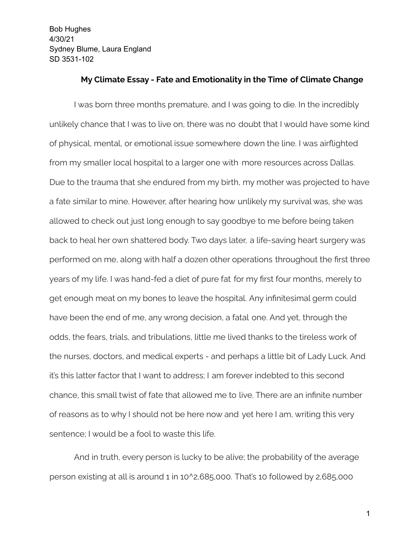#### **My Climate Essay - Fate and Emotionality in the Time of Climate Change**

I was born three months premature, and I was going to die. In the incredibly unlikely chance that I was to live on, there was no doubt that I would have some kind of physical, mental, or emotional issue somewhere down the line. I was airflighted from my smaller local hospital to a larger one with more resources across Dallas. Due to the trauma that she endured from my birth, my mother was projected to have a fate similar to mine. However, after hearing how unlikely my survival was, she was allowed to check out just long enough to say goodbye to me before being taken back to heal her own shattered body. Two days later, a life-saving heart surgery was performed on me, along with half a dozen other operations throughout the first three years of my life. I was hand-fed a diet of pure fat for my first four months, merely to get enough meat on my bones to leave the hospital. Any infinitesimal germ could have been the end of me, any wrong decision, a fatal one. And yet, through the odds, the fears, trials, and tribulations, little me lived thanks to the tireless work of the nurses, doctors, and medical experts - and perhaps a little bit of Lady Luck. And it's this latter factor that I want to address; I am forever indebted to this second chance, this small twist of fate that allowed me to live. There are an infinite number of reasons as to why I should not be here now and yet here I am, writing this very sentence; I would be a fool to waste this life.

And in truth, every person is lucky to be alive; the probability of the average person existing at all is around 1 in 10^2,685,000. That's 10 followed by 2,685,000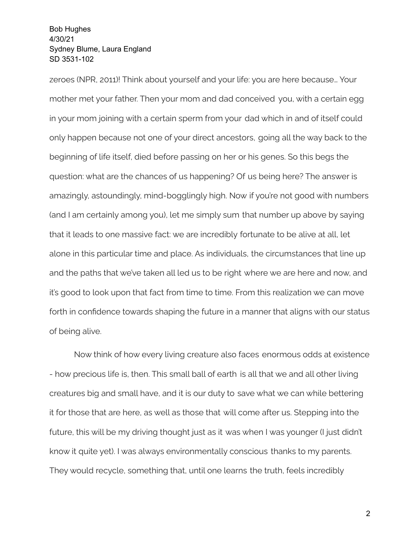zeroes (NPR, 2011)! Think about yourself and your life: you are here because… Your mother met your father. Then your mom and dad conceived you, with a certain egg in your mom joining with a certain sperm from your dad which in and of itself could only happen because not one of your direct ancestors, going all the way back to the beginning of life itself, died before passing on her or his genes. So this begs the question: what are the chances of us happening? Of us being here? The answer is amazingly, astoundingly, mind-bogglingly high. Now if you're not good with numbers (and I am certainly among you), let me simply sum that number up above by saying that it leads to one massive fact: we are incredibly fortunate to be alive at all, let alone in this particular time and place. As individuals, the circumstances that line up and the paths that we've taken all led us to be right where we are here and now, and it's good to look upon that fact from time to time. From this realization we can move forth in confidence towards shaping the future in a manner that aligns with our status of being alive.

Now think of how every living creature also faces enormous odds at existence - how precious life is, then. This small ball of earth is all that we and all other living creatures big and small have, and it is our duty to save what we can while bettering it for those that are here, as well as those that will come after us. Stepping into the future, this will be my driving thought just as it was when I was younger (I just didn't know it quite yet). I was always environmentally conscious thanks to my parents. They would recycle, something that, until one learns the truth, feels incredibly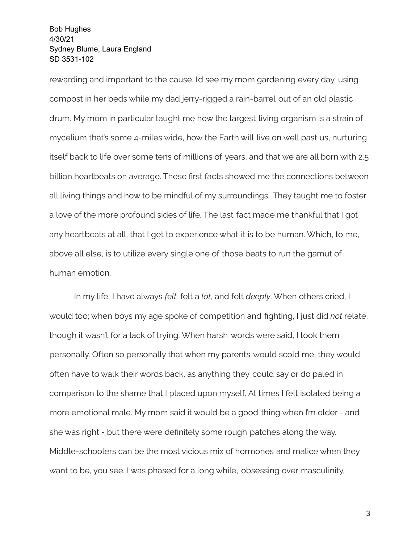rewarding and important to the cause. I'd see my mom gardening every day, using compost in her beds while my dad jerry-rigged a rain-barrel out of an old plastic drum. My mom in particular taught me how the largest living organism is a strain of mycelium that's some 4-miles wide, how the Earth will live on well past us, nurturing itself back to life over some tens of millions of years, and that we are all born with 2.5 billion heartbeats on average. These first facts showed me the connections between all living things and how to be mindful of my surroundings. They taught me to foster a love of the more profound sides of life. The last fact made me thankful that I got any heartbeats at all, that I get to experience what it is to be human. Which, to me, above all else, is to utilize every single one of those beats to run the gamut of human emotion.

In my life, I have always *felt,* felt a *lot*, and felt *deeply*. When others cried, I would too; when boys my age spoke of competition and fighting, I just did *not* relate, though it wasn't for a lack of trying. When harsh words were said, I took them personally. Often so personally that when my parents would scold me, they would often have to walk their words back, as anything they could say or do paled in comparison to the shame that I placed upon myself. At times I felt isolated being a more emotional male. My mom said it would be a good thing when I'm older - and she was right - but there were definitely some rough patches along the way. Middle-schoolers can be the most vicious mix of hormones and malice when they want to be, you see. I was phased for a long while, obsessing over masculinity,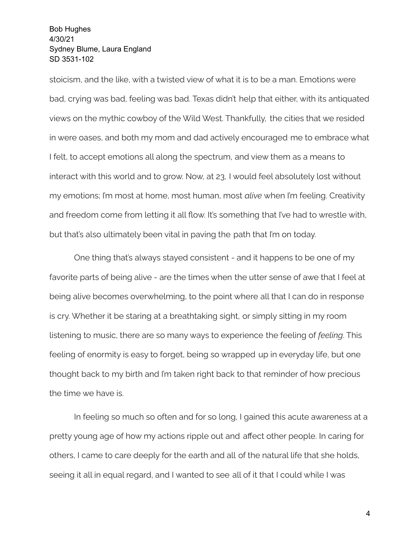stoicism, and the like, with a twisted view of what it is to be a man. Emotions were bad, crying was bad, feeling was bad. Texas didn't help that either, with its antiquated views on the mythic cowboy of the Wild West. Thankfully, the cities that we resided in were oases, and both my mom and dad actively encouraged me to embrace what I felt, to accept emotions all along the spectrum, and view them as a means to interact with this world and to grow. Now, at 23, I would feel absolutely lost without my emotions; I'm most at home, most human, most *alive* when I'm feeling. Creativity and freedom come from letting it all flow. It's something that I've had to wrestle with, but that's also ultimately been vital in paving the path that I'm on today.

One thing that's always stayed consistent - and it happens to be one of my favorite parts of being alive - are the times when the utter sense of awe that I feel at being alive becomes overwhelming, to the point where all that I can do in response is cry. Whether it be staring at a breathtaking sight, or simply sitting in my room listening to music, there are so many ways to experience the feeling of *feeling*. This feeling of enormity is easy to forget, being so wrapped up in everyday life, but one thought back to my birth and I'm taken right back to that reminder of how precious the time we have is.

In feeling so much so often and for so long, I gained this acute awareness at a pretty young age of how my actions ripple out and affect other people. In caring for others, I came to care deeply for the earth and all of the natural life that she holds, seeing it all in equal regard, and I wanted to see all of it that I could while I was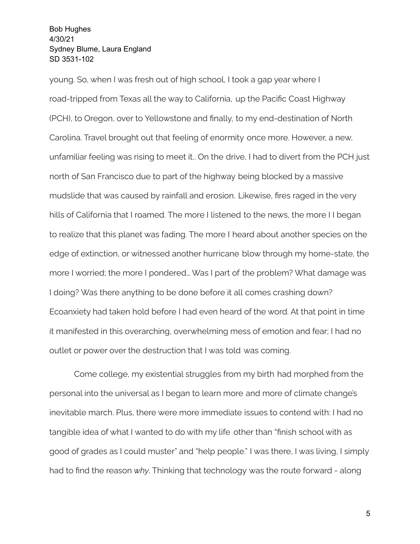young. So, when I was fresh out of high school, I took a gap year where I road-tripped from Texas all the way to California, up the Pacific Coast Highway (PCH), to Oregon, over to Yellowstone and finally, to my end-destination of North Carolina. Travel brought out that feeling of enormity once more. However, a new, unfamiliar feeling was rising to meet it.. On the drive, I had to divert from the PCH just north of San Francisco due to part of the highway being blocked by a massive mudslide that was caused by rainfall and erosion. Likewise, fires raged in the very hills of California that I roamed. The more I listened to the news, the more I I began to realize that this planet was fading. The more I heard about another species on the edge of extinction, or witnessed another hurricane blow through my home-state, the more I worried; the more I pondered… Was I part of the problem? What damage was I doing? Was there anything to be done before it all comes crashing down? Ecoanxiety had taken hold before I had even heard of the word. At that point in time it manifested in this overarching, overwhelming mess of emotion and fear; I had no outlet or power over the destruction that I was told was coming.

Come college, my existential struggles from my birth had morphed from the personal into the universal as I began to learn more and more of climate change's inevitable march. Plus, there were more immediate issues to contend with: I had no tangible idea of what I wanted to do with my life other than "finish school with as good of grades as I could muster" and "help people." I was there, I was living, I simply had to find the reason *why*. Thinking that technology was the route forward - along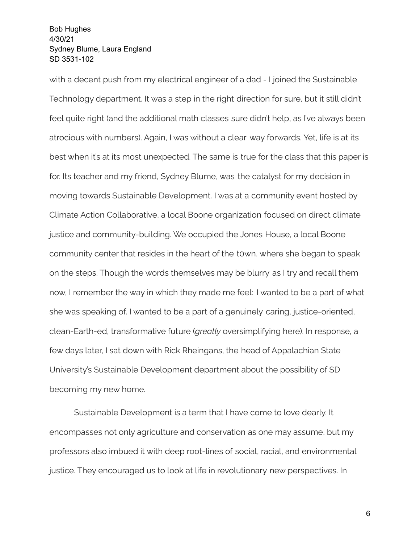with a decent push from my electrical engineer of a dad - I joined the Sustainable Technology department. It was a step in the right direction for sure, but it still didn't feel quite right (and the additional math classes sure didn't help, as I've always been atrocious with numbers). Again, I was without a clear way forwards. Yet, life is at its best when it's at its most unexpected. The same is true for the class that this paper is for. Its teacher and my friend, Sydney Blume, was the catalyst for my decision in moving towards Sustainable Development. I was at a community event hosted by Climate Action Collaborative, a local Boone organization focused on direct climate justice and community-building. We occupied the Jones House, a local Boone community center that resides in the heart of the t0wn, where she began to speak on the steps. Though the words themselves may be blurry as I try and recall them now, I remember the way in which they made me feel: I wanted to be a part of what she was speaking of. I wanted to be a part of a genuinely caring, justice-oriented, clean-Earth-ed, transformative future (*greatly* oversimplifying here). In response, a few days later, I sat down with Rick Rheingans, the head of Appalachian State University's Sustainable Development department about the possibility of SD becoming my new home.

Sustainable Development is a term that I have come to love dearly. It encompasses not only agriculture and conservation as one may assume, but my professors also imbued it with deep root-lines of social, racial, and environmental justice. They encouraged us to look at life in revolutionary new perspectives. In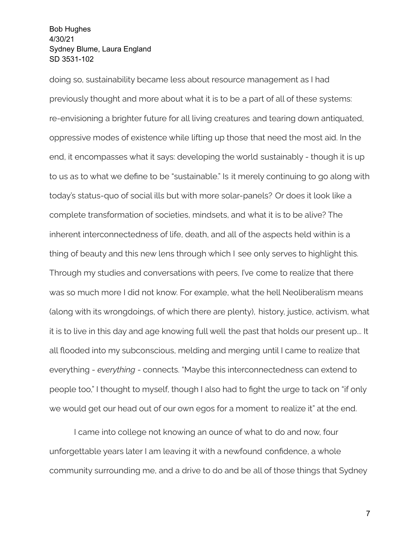doing so, sustainability became less about resource management as I had previously thought and more about what it is to be a part of all of these systems: re-envisioning a brighter future for all living creatures and tearing down antiquated, oppressive modes of existence while lifting up those that need the most aid. In the end, it encompasses what it says: developing the world sustainably - though it is up to us as to what we define to be "sustainable." Is it merely continuing to go along with today's status-quo of social ills but with more solar-panels? Or does it look like a complete transformation of societies, mindsets, and what it is to be alive? The inherent interconnectedness of life, death, and all of the aspects held within is a thing of beauty and this new lens through which I see only serves to highlight this. Through my studies and conversations with peers, I've come to realize that there was so much more I did not know. For example, what the hell Neoliberalism means (along with its wrongdoings, of which there are plenty), history, justice, activism, what it is to live in this day and age knowing full well the past that holds our present up... It all flooded into my subconscious, melding and merging until I came to realize that everything - *everything* - connects. "Maybe this interconnectedness can extend to people too," I thought to myself, though I also had to fight the urge to tack on "if only we would get our head out of our own egos for a moment to realize it" at the end.

I came into college not knowing an ounce of what to do and now, four unforgettable years later I am leaving it with a newfound confidence, a whole community surrounding me, and a drive to do and be all of those things that Sydney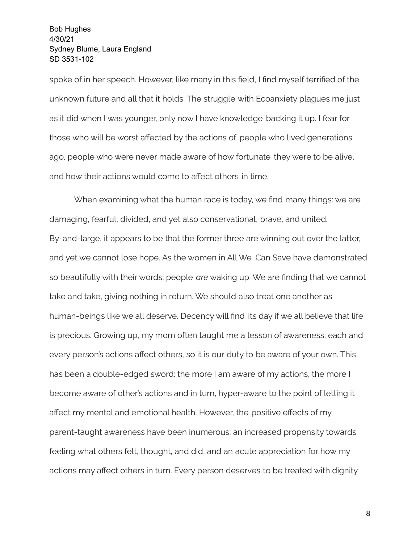spoke of in her speech. However, like many in this field, I find myself terrified of the unknown future and all that it holds. The struggle with Ecoanxiety plagues me just as it did when I was younger, only now I have knowledge backing it up. I fear for those who will be worst affected by the actions of people who lived generations ago, people who were never made aware of how fortunate they were to be alive, and how their actions would come to affect others in time.

When examining what the human race is today, we find many things: we are damaging, fearful, divided, and yet also conservational, brave, and united. By-and-large, it appears to be that the former three are winning out over the latter, and yet we cannot lose hope. As the women in All We Can Save have demonstrated so beautifully with their words: people *are* waking up. We are finding that we cannot take and take, giving nothing in return. We should also treat one another as human-beings like we all deserve. Decency will find its day if we all believe that life is precious. Growing up, my mom often taught me a lesson of awareness; each and every person's actions affect others, so it is our duty to be aware of your own. This has been a double-edged sword: the more I am aware of my actions, the more I become aware of other's actions and in turn, hyper-aware to the point of letting it affect my mental and emotional health. However, the positive effects of my parent-taught awareness have been inumerous; an increased propensity towards feeling what others felt, thought, and did, and an acute appreciation for how my actions may affect others in turn. Every person deserves to be treated with dignity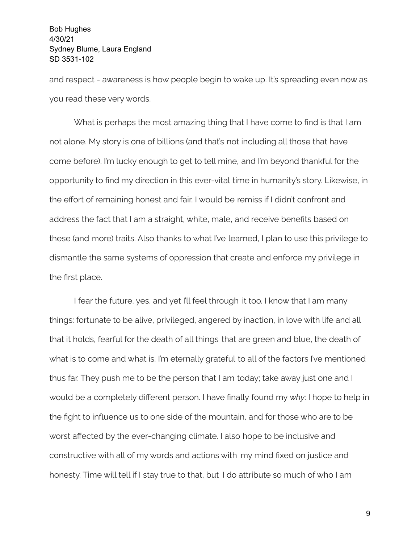and respect - awareness is how people begin to wake up. It's spreading even now as you read these very words.

What is perhaps the most amazing thing that I have come to find is that I am not alone. My story is one of billions (and that's not including all those that have come before). I'm lucky enough to get to tell mine, and I'm beyond thankful for the opportunity to find my direction in this ever-vital time in humanity's story. Likewise, in the effort of remaining honest and fair, I would be remiss if I didn't confront and address the fact that I am a straight, white, male, and receive benefits based on these (and more) traits. Also thanks to what I've learned, I plan to use this privilege to dismantle the same systems of oppression that create and enforce my privilege in the first place.

I fear the future, yes, and yet I'll feel through it too. I know that I am many things: fortunate to be alive, privileged, angered by inaction, in love with life and all that it holds, fearful for the death of all things that are green and blue, the death of what is to come and what is. I'm eternally grateful to all of the factors I've mentioned thus far. They push me to be the person that I am today; take away just one and I would be a completely different person. I have finally found my *why*: I hope to help in the fight to influence us to one side of the mountain, and for those who are to be worst affected by the ever-changing climate. I also hope to be inclusive and constructive with all of my words and actions with my mind fixed on justice and honesty. Time will tell if I stay true to that, but I do attribute so much of who I am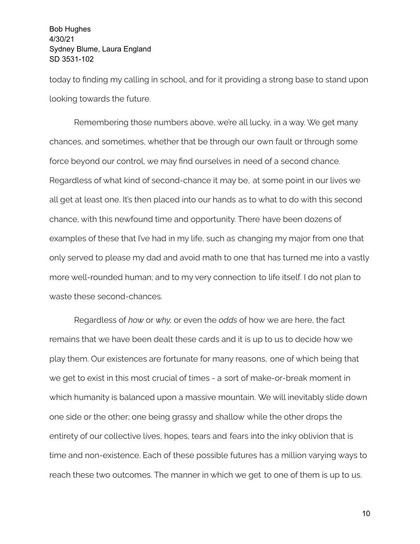today to finding my calling in school, and for it providing a strong base to stand upon looking towards the future.

Remembering those numbers above, we're all lucky, in a way. We get many chances, and sometimes, whether that be through our own fault or through some force beyond our control, we may find ourselves in need of a second chance. Regardless of what kind of second-chance it may be, at some point in our lives we all get at least one. It's then placed into our hands as to what to do with this second chance, with this newfound time and opportunity. There have been dozens of examples of these that I've had in my life, such as changing my major from one that only served to please my dad and avoid math to one that has turned me into a vastly more well-rounded human; and to my very connection to life itself. I do not plan to waste these second-chances.

Regardless of *how* or *why,* or even the *odds* of how we are here, the fact remains that we have been dealt these cards and it is up to us to decide how we play them. Our existences are fortunate for many reasons, one of which being that we get to exist in this most crucial of times - a sort of make-or-break moment in which humanity is balanced upon a massive mountain. We will inevitably slide down one side or the other; one being grassy and shallow while the other drops the entirety of our collective lives, hopes, tears and fears into the inky oblivion that is time and non-existence. Each of these possible futures has a million varying ways to reach these two outcomes. The manner in which we get to one of them is up to us.